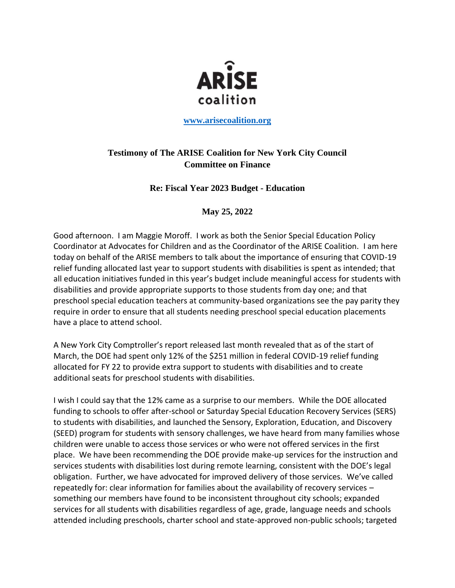

**[www.arisecoalition.org](http://www.arisecoalition.org/)**

## **Testimony of The ARISE Coalition for New York City Council Committee on Finance**

## **Re: Fiscal Year 2023 Budget - Education**

## **May 25, 2022**

Good afternoon. I am Maggie Moroff. I work as both the Senior Special Education Policy Coordinator at Advocates for Children and as the Coordinator of the ARISE Coalition. I am here today on behalf of the ARISE members to talk about the importance of ensuring that COVID-19 relief funding allocated last year to support students with disabilities is spent as intended; that all education initiatives funded in this year's budget include meaningful access for students with disabilities and provide appropriate supports to those students from day one; and that preschool special education teachers at community-based organizations see the pay parity they require in order to ensure that all students needing preschool special education placements have a place to attend school.

A New York City Comptroller's report released last month revealed that as of the start of March, the DOE had spent only 12% of the \$251 million in federal COVID-19 relief funding allocated for FY 22 to provide extra support to students with disabilities and to create additional seats for preschool students with disabilities.

I wish I could say that the 12% came as a surprise to our members. While the DOE allocated funding to schools to offer after-school or Saturday Special Education Recovery Services (SERS) to students with disabilities, and launched the Sensory, Exploration, Education, and Discovery (SEED) program for students with sensory challenges, we have heard from many families whose children were unable to access those services or who were not offered services in the first place. We have been recommending the DOE provide make-up services for the instruction and services students with disabilities lost during remote learning, consistent with the DOE's legal obligation. Further, we have advocated for improved delivery of those services. We've called repeatedly for: clear information for families about the availability of recovery services – something our members have found to be inconsistent throughout city schools; expanded services for all students with disabilities regardless of age, grade, language needs and schools attended including preschools, charter school and state-approved non-public schools; targeted